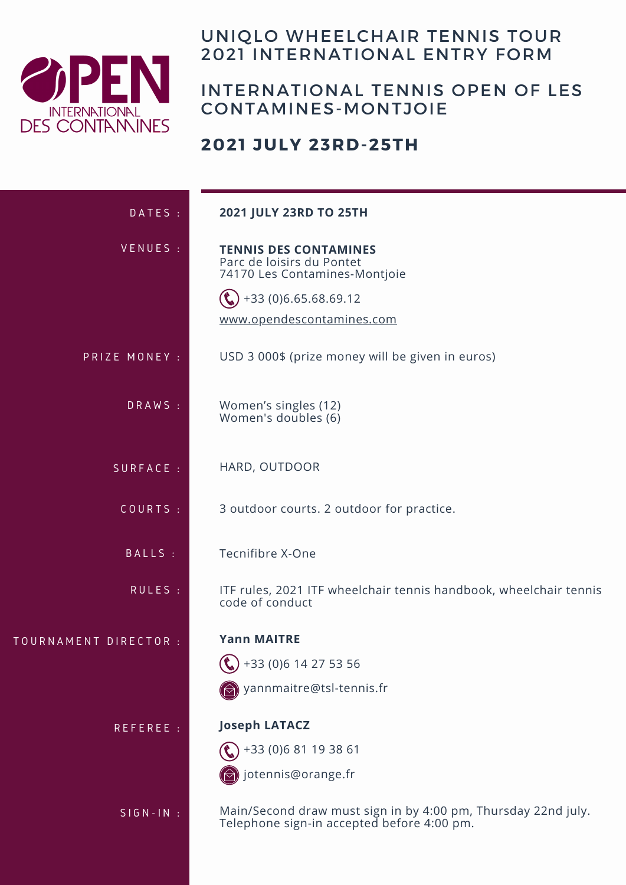

## UNIQLO WHEELCHAIR TENNIS TOUR 2021 INTERNATIONAL ENTRY FORM

## INTERNATIONAL TENNIS OPEN OF LES CONTAMINES-MONTJOIE

## **2021 JULY 23RD-25TH**

| DATES :               | 2021 JULY 23RD TO 25TH                                                                                      |
|-----------------------|-------------------------------------------------------------------------------------------------------------|
| VENUES :              | <b>TENNIS DES CONTAMINES</b><br>Parc de loisirs du Pontet<br>74170 Les Contamines-Montjoie                  |
|                       | +33 (0)6.65.68.69.12                                                                                        |
|                       | www.opendescontamines.com                                                                                   |
| PRIZE MONEY :         | USD 3 000\$ (prize money will be given in euros)                                                            |
| DRAWS:                | Women's singles (12)<br>Women's doubles (6)                                                                 |
| SURFACE :             | HARD, OUTDOOR                                                                                               |
| COURTS :              | 3 outdoor courts. 2 outdoor for practice.                                                                   |
| BALLS :               | Tecnifibre X-One                                                                                            |
| RULES :               | ITF rules, 2021 ITF wheelchair tennis handbook, wheelchair tennis<br>code of conduct                        |
| TOURNAMENT DIRECTOR : | <b>Yann MAITRE</b>                                                                                          |
|                       | $\binom{6}{9}$ +33 (0)6 14 27 53 56                                                                         |
|                       | yannmaitre@tsl-tennis.fr                                                                                    |
| REFEREE :             | <b>Joseph LATACZ</b>                                                                                        |
|                       | +33 (0)6 81 19 38 61                                                                                        |
|                       | jotennis@orange.fr                                                                                          |
| $SIGN-1N$ :           | Main/Second draw must sign in by 4:00 pm, Thursday 22nd july.<br>Telephone sign-in accepted before 4:00 pm. |